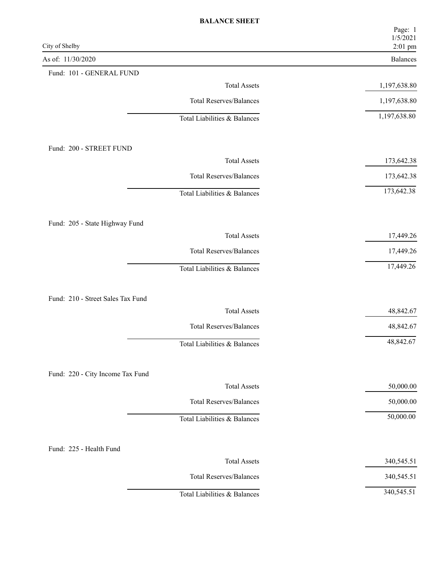| City of Shelby                    | Page: 1<br>1/5/2021<br>2:01 pm |
|-----------------------------------|--------------------------------|
| As of: 11/30/2020                 | Balances                       |
| Fund: 101 - GENERAL FUND          |                                |
| <b>Total Assets</b>               | 1,197,638.80                   |
| <b>Total Reserves/Balances</b>    | 1,197,638.80                   |
| Total Liabilities & Balances      | 1,197,638.80                   |
| Fund: 200 - STREET FUND           |                                |
| <b>Total Assets</b>               | 173,642.38                     |
| <b>Total Reserves/Balances</b>    | 173,642.38                     |
| Total Liabilities & Balances      | 173,642.38                     |
| Fund: 205 - State Highway Fund    |                                |
| <b>Total Assets</b>               | 17,449.26                      |
| <b>Total Reserves/Balances</b>    | 17,449.26                      |
| Total Liabilities & Balances      | 17,449.26                      |
| Fund: 210 - Street Sales Tax Fund |                                |
| <b>Total Assets</b>               | 48,842.67                      |
| <b>Total Reserves/Balances</b>    | 48,842.67                      |
| Total Liabilities & Balances      | 48,842.67                      |
| Fund: 220 - City Income Tax Fund  |                                |
| <b>Total Assets</b>               | 50,000.00                      |
| <b>Total Reserves/Balances</b>    | 50,000.00                      |
| Total Liabilities & Balances      | 50,000.00                      |
| Fund: 225 - Health Fund           |                                |
| <b>Total Assets</b>               | 340,545.51                     |
| <b>Total Reserves/Balances</b>    | 340,545.51                     |
| Total Liabilities & Balances      | 340,545.51                     |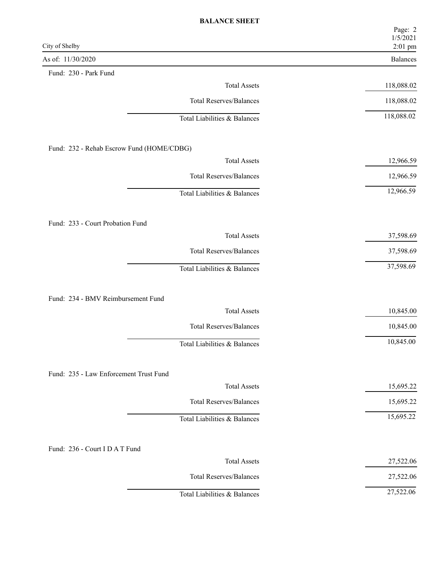| City of Shelby                            | Page: 2<br>1/5/2021<br>2:01 pm |
|-------------------------------------------|--------------------------------|
| As of: 11/30/2020                         | Balances                       |
| Fund: 230 - Park Fund                     |                                |
| <b>Total Assets</b>                       | 118,088.02                     |
| <b>Total Reserves/Balances</b>            | 118,088.02                     |
| Total Liabilities & Balances              | 118,088.02                     |
| Fund: 232 - Rehab Escrow Fund (HOME/CDBG) |                                |
| <b>Total Assets</b>                       | 12,966.59                      |
| <b>Total Reserves/Balances</b>            | 12,966.59                      |
| Total Liabilities & Balances              | 12,966.59                      |
| Fund: 233 - Court Probation Fund          |                                |
| <b>Total Assets</b>                       | 37,598.69                      |
| <b>Total Reserves/Balances</b>            | 37,598.69                      |
| Total Liabilities & Balances              | 37,598.69                      |
|                                           |                                |
| Fund: 234 - BMV Reimbursement Fund        |                                |
| <b>Total Assets</b>                       | 10,845.00                      |
| <b>Total Reserves/Balances</b>            | 10,845.00                      |
| Total Liabilities & Balances              | 10,845.00                      |
| Fund: 235 - Law Enforcement Trust Fund    |                                |
| <b>Total Assets</b>                       | 15,695.22                      |
| Total Reserves/Balances                   | 15,695.22                      |
| Total Liabilities & Balances              | 15,695.22                      |
| Fund: 236 - Court I D A T Fund            |                                |
| <b>Total Assets</b>                       | 27,522.06                      |
| <b>Total Reserves/Balances</b>            | 27,522.06                      |
| Total Liabilities & Balances              | 27,522.06                      |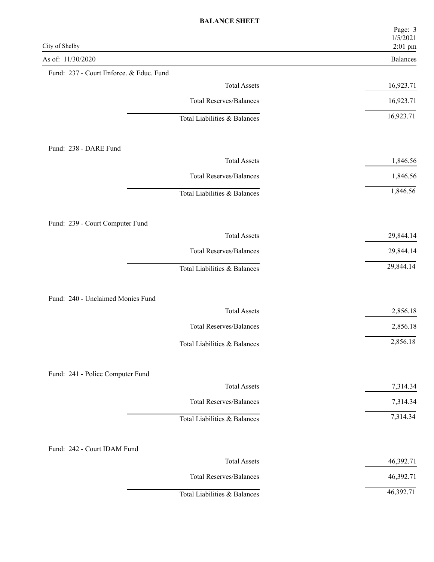| City of Shelby                          | Page: 3<br>1/5/2021<br>2:01 pm |
|-----------------------------------------|--------------------------------|
| As of: 11/30/2020                       | Balances                       |
| Fund: 237 - Court Enforce. & Educ. Fund |                                |
| <b>Total Assets</b>                     | 16,923.71                      |
| <b>Total Reserves/Balances</b>          | 16,923.71                      |
| Total Liabilities & Balances            | 16,923.71                      |
| Fund: 238 - DARE Fund                   |                                |
| <b>Total Assets</b>                     | 1,846.56                       |
| <b>Total Reserves/Balances</b>          | 1,846.56                       |
| Total Liabilities & Balances            | 1,846.56                       |
| Fund: 239 - Court Computer Fund         |                                |
| <b>Total Assets</b>                     | 29,844.14                      |
| <b>Total Reserves/Balances</b>          | 29,844.14                      |
| Total Liabilities & Balances            | 29,844.14                      |
| Fund: 240 - Unclaimed Monies Fund       |                                |
| <b>Total Assets</b>                     | 2,856.18                       |
| <b>Total Reserves/Balances</b>          | 2,856.18                       |
| Total Liabilities & Balances            | 2,856.18                       |
| Fund: 241 - Police Computer Fund        |                                |
| <b>Total Assets</b>                     | 7,314.34                       |
| <b>Total Reserves/Balances</b>          | 7,314.34                       |
| Total Liabilities & Balances            | 7,314.34                       |
| Fund: 242 - Court IDAM Fund             |                                |
| <b>Total Assets</b>                     | 46,392.71                      |
| <b>Total Reserves/Balances</b>          | 46,392.71                      |
| Total Liabilities & Balances            | 46,392.71                      |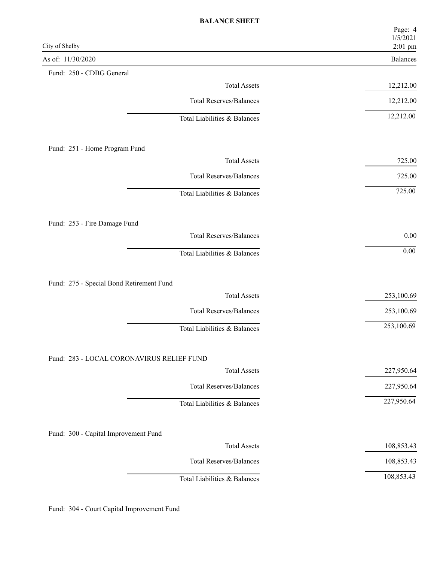|                                           | Page: 4<br>1/5/2021        |
|-------------------------------------------|----------------------------|
| City of Shelby<br>As of: 11/30/2020       | 2:01 pm<br><b>Balances</b> |
| Fund: 250 - CDBG General                  |                            |
| <b>Total Assets</b>                       | 12,212.00                  |
| <b>Total Reserves/Balances</b>            | 12,212.00                  |
| Total Liabilities & Balances              | 12,212.00                  |
|                                           |                            |
| Fund: 251 - Home Program Fund             |                            |
| <b>Total Assets</b>                       | 725.00                     |
| <b>Total Reserves/Balances</b>            | 725.00                     |
| Total Liabilities & Balances              | 725.00                     |
|                                           |                            |
| Fund: 253 - Fire Damage Fund              |                            |
| <b>Total Reserves/Balances</b>            | $0.00\,$                   |
| Total Liabilities & Balances              | $0.00\,$                   |
|                                           |                            |
| Fund: 275 - Special Bond Retirement Fund  |                            |
| <b>Total Assets</b>                       | 253,100.69                 |
| <b>Total Reserves/Balances</b>            | 253,100.69                 |
| Total Liabilities & Balances              | 253,100.69                 |
|                                           |                            |
| Fund: 283 - LOCAL CORONAVIRUS RELIEF FUND |                            |
| <b>Total Assets</b>                       | 227,950.64                 |
| <b>Total Reserves/Balances</b>            | 227,950.64                 |
| Total Liabilities & Balances              | 227,950.64                 |
|                                           |                            |
| Fund: 300 - Capital Improvement Fund      |                            |
| <b>Total Assets</b>                       | 108,853.43                 |
| Total Reserves/Balances                   | 108,853.43                 |
| Total Liabilities & Balances              | 108,853.43                 |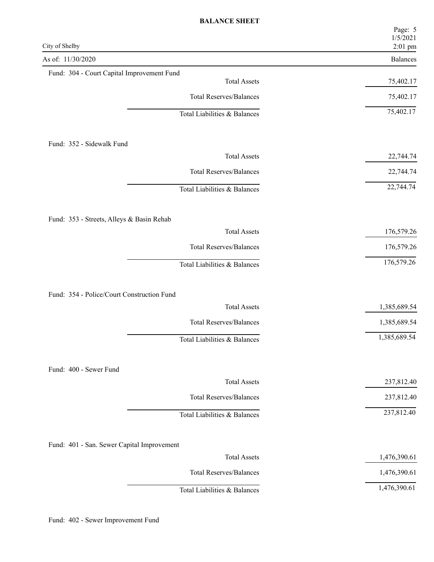| 2:01 pm<br><b>Balances</b><br>75,402.17 |
|-----------------------------------------|
|                                         |
| 75,402.17<br>75,402.17                  |
|                                         |
|                                         |
|                                         |
|                                         |
| 22,744.74                               |
| 22,744.74                               |
| 22,744.74                               |
|                                         |
| 176,579.26                              |
| 176,579.26                              |
| 176,579.26                              |
|                                         |
| 1,385,689.54                            |
| 1,385,689.54                            |
| 1,385,689.54                            |
|                                         |
| 237,812.40                              |
| 237,812.40                              |
| 237,812.40                              |
|                                         |
| 1,476,390.61                            |
| 1,476,390.61                            |
| 1,476,390.61                            |
|                                         |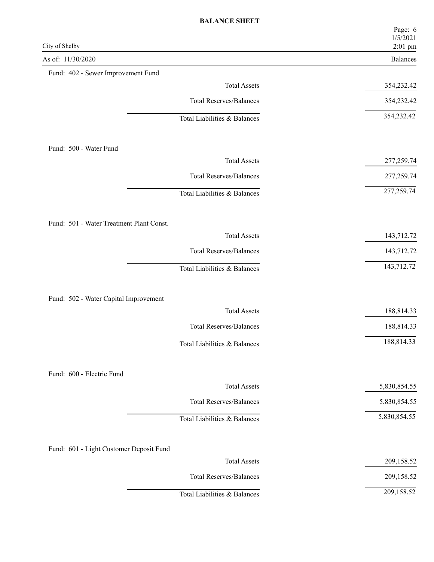| City of Shelby                           | Page: 6<br>1/5/2021<br>2:01 pm |
|------------------------------------------|--------------------------------|
| As of: 11/30/2020                        | Balances                       |
| Fund: 402 - Sewer Improvement Fund       |                                |
| <b>Total Assets</b>                      | 354,232.42                     |
| <b>Total Reserves/Balances</b>           | 354,232.42                     |
| Total Liabilities & Balances             | 354,232.42                     |
| Fund: 500 - Water Fund                   |                                |
| <b>Total Assets</b>                      | 277,259.74                     |
| <b>Total Reserves/Balances</b>           | 277,259.74                     |
| Total Liabilities & Balances             | 277,259.74                     |
| Fund: 501 - Water Treatment Plant Const. |                                |
| <b>Total Assets</b>                      | 143,712.72                     |
| <b>Total Reserves/Balances</b>           | 143,712.72                     |
| Total Liabilities & Balances             | 143,712.72                     |
| Fund: 502 - Water Capital Improvement    |                                |
| <b>Total Assets</b>                      | 188,814.33                     |
| <b>Total Reserves/Balances</b>           | 188,814.33                     |
| Total Liabilities & Balances             | 188,814.33                     |
| Fund: 600 - Electric Fund                |                                |
| <b>Total Assets</b>                      | 5,830,854.55                   |
| <b>Total Reserves/Balances</b>           | 5,830,854.55                   |
| Total Liabilities & Balances             | 5,830,854.55                   |
| Fund: 601 - Light Customer Deposit Fund  |                                |
| <b>Total Assets</b>                      | 209,158.52                     |
| <b>Total Reserves/Balances</b>           | 209,158.52                     |
| Total Liabilities & Balances             | 209,158.52                     |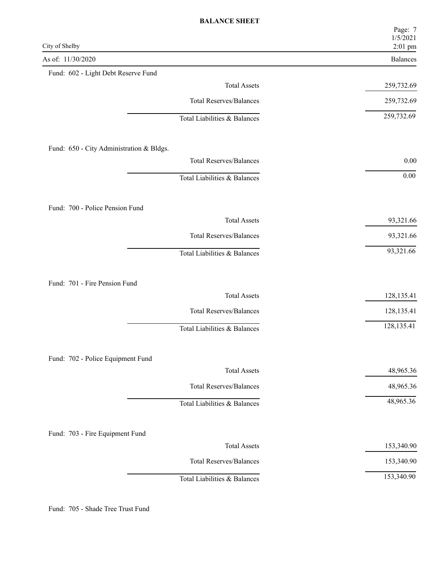|                                          | Page: 7<br>1/5/2021        |
|------------------------------------------|----------------------------|
| City of Shelby<br>As of: 11/30/2020      | 2:01 pm<br><b>Balances</b> |
| Fund: 602 - Light Debt Reserve Fund      |                            |
| <b>Total Assets</b>                      | 259,732.69                 |
| <b>Total Reserves/Balances</b>           | 259,732.69                 |
| Total Liabilities & Balances             | 259,732.69                 |
| Fund: 650 - City Administration & Bldgs. |                            |
| <b>Total Reserves/Balances</b>           | $0.00\,$                   |
| Total Liabilities & Balances             | $0.00\,$                   |
| Fund: 700 - Police Pension Fund          |                            |
| <b>Total Assets</b>                      | 93,321.66                  |
| <b>Total Reserves/Balances</b>           | 93,321.66                  |
| Total Liabilities & Balances             | 93,321.66                  |
| Fund: 701 - Fire Pension Fund            |                            |
| <b>Total Assets</b>                      | 128,135.41                 |
| <b>Total Reserves/Balances</b>           | 128,135.41                 |
| Total Liabilities & Balances             | 128,135.41                 |
| Fund: 702 - Police Equipment Fund        |                            |
| <b>Total Assets</b>                      | 48,965.36                  |
| <b>Total Reserves/Balances</b>           | 48,965.36                  |
| Total Liabilities & Balances             | 48,965.36                  |
| Fund: 703 - Fire Equipment Fund          |                            |
| <b>Total Assets</b>                      | 153,340.90                 |
| <b>Total Reserves/Balances</b>           | 153,340.90                 |
| Total Liabilities & Balances             | 153,340.90                 |